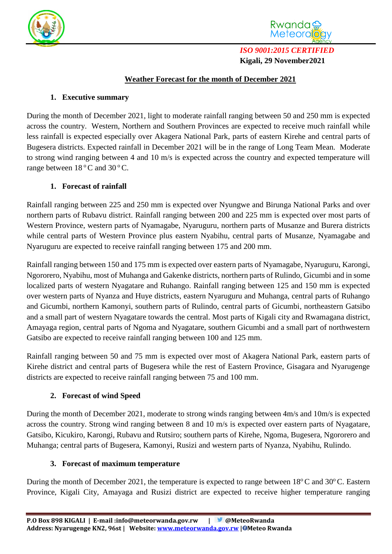



*ISO 9001:2015 CERTIFIED*  **Kigali, 29 November2021**

### **Weather Forecast for the month of December 2021**

### **1. Executive summary**

During the month of December 2021, light to moderate rainfall ranging between 50 and 250 mm is expected across the country. Western, Northern and Southern Provinces are expected to receive much rainfall while less rainfall is expected especially over Akagera National Park, parts of eastern Kirehe and central parts of Bugesera districts. Expected rainfall in December 2021 will be in the range of Long Team Mean. Moderate to strong wind ranging between 4 and 10 m/s is expected across the country and expected temperature will range between  $18^{\circ}$ C and  $30^{\circ}$ C.

## **1. Forecast of rainfall**

Rainfall ranging between 225 and 250 mm is expected over Nyungwe and Birunga National Parks and over northern parts of Rubavu district. Rainfall ranging between 200 and 225 mm is expected over most parts of Western Province, western parts of Nyamagabe, Nyaruguru, northern parts of Musanze and Burera districts while central parts of Western Province plus eastern Nyabihu, central parts of Musanze, Nyamagabe and Nyaruguru are expected to receive rainfall ranging between 175 and 200 mm.

Rainfall ranging between 150 and 175 mm is expected over eastern parts of Nyamagabe, Nyaruguru, Karongi, Ngororero, Nyabihu, most of Muhanga and Gakenke districts, northern parts of Rulindo, Gicumbi and in some localized parts of western Nyagatare and Ruhango. Rainfall ranging between 125 and 150 mm is expected over western parts of Nyanza and Huye districts, eastern Nyaruguru and Muhanga, central parts of Ruhango and Gicumbi, northern Kamonyi, southern parts of Rulindo, central parts of Gicumbi, northeastern Gatsibo and a small part of western Nyagatare towards the central. Most parts of Kigali city and Rwamagana district, Amayaga region, central parts of Ngoma and Nyagatare, southern Gicumbi and a small part of northwestern Gatsibo are expected to receive rainfall ranging between 100 and 125 mm.

Rainfall ranging between 50 and 75 mm is expected over most of Akagera National Park, eastern parts of Kirehe district and central parts of Bugesera while the rest of Eastern Province, Gisagara and Nyarugenge districts are expected to receive rainfall ranging between 75 and 100 mm.

# **2. Forecast of wind Speed**

During the month of December 2021, moderate to strong winds ranging between 4m/s and 10m/s is expected across the country. Strong wind ranging between 8 and 10 m/s is expected over eastern parts of Nyagatare, Gatsibo, Kicukiro, Karongi, Rubavu and Rutsiro; southern parts of Kirehe, Ngoma, Bugesera, Ngororero and Muhanga; central parts of Bugesera, Kamonyi, Rusizi and western parts of Nyanza, Nyabihu, Rulindo.

### **3. Forecast of maximum temperature**

During the month of December 2021, the temperature is expected to range between 18°C and 30°C. Eastern Province, Kigali City, Amayaga and Rusizi district are expected to receive higher temperature ranging